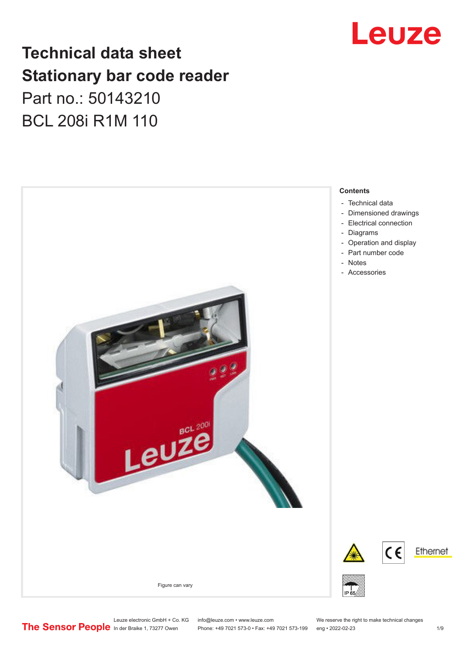

# **Technical data sheet Stationary bar code reader** Part no.: 50143210 BCL 208i R1M 110



Leuze electronic GmbH + Co. KG info@leuze.com • www.leuze.com We reserve the right to make technical changes<br>
The Sensor People in der Braike 1, 73277 Owen Phone: +49 7021 573-0 • Fax: +49 7021 573-199 eng • 2022-02-23 Phone: +49 7021 573-0 • Fax: +49 7021 573-199 eng • 2022-02-23 1 /9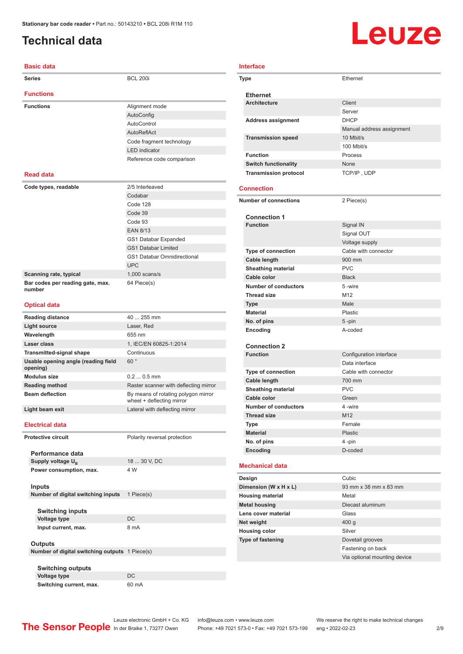# <span id="page-1-0"></span>**Technical data**

| Basic data                                      |                                                                  |
|-------------------------------------------------|------------------------------------------------------------------|
| <b>Series</b>                                   | <b>BCL 200i</b>                                                  |
| <b>Functions</b>                                |                                                                  |
| <b>Functions</b>                                | Alignment mode                                                   |
|                                                 | AutoConfig                                                       |
|                                                 | AutoControl                                                      |
|                                                 | AutoReflAct                                                      |
|                                                 |                                                                  |
|                                                 | Code fragment technology                                         |
|                                                 | <b>LED</b> indicator                                             |
|                                                 | Reference code comparison                                        |
| <b>Read data</b>                                |                                                                  |
| Code types, readable                            | 2/5 Interleaved                                                  |
|                                                 | Codabar                                                          |
|                                                 | Code 128                                                         |
|                                                 | Code 39                                                          |
|                                                 | Code 93                                                          |
|                                                 | <b>EAN 8/13</b>                                                  |
|                                                 | GS1 Databar Expanded                                             |
|                                                 |                                                                  |
|                                                 | <b>GS1 Databar Limited</b>                                       |
|                                                 | <b>GS1 Databar Omnidirectional</b>                               |
|                                                 | <b>UPC</b>                                                       |
| Scanning rate, typical                          | $1,000$ scans/s                                                  |
| Bar codes per reading gate, max.<br>number      | 64 Piece(s)                                                      |
| <b>Optical data</b>                             |                                                                  |
| <b>Reading distance</b>                         | 40  255 mm                                                       |
| <b>Light source</b>                             | Laser, Red                                                       |
| Wavelength                                      | 655 nm                                                           |
| Laser class                                     | 1, IEC/EN 60825-1:2014                                           |
| <b>Transmitted-signal shape</b>                 | Continuous                                                       |
| Usable opening angle (reading field<br>opening) | 60°                                                              |
| <b>Modulus size</b>                             | $0.20.5$ mm                                                      |
| <b>Reading method</b>                           | Raster scanner with deflecting mirror                            |
| <b>Beam deflection</b>                          | By means of rotating polygon mirror<br>wheel + deflecting mirror |
|                                                 | Lateral with deflecting mirror                                   |
| Light beam exit                                 |                                                                  |
| <b>Electrical data</b>                          |                                                                  |
| <b>Protective circuit</b>                       | Polarity reversal protection                                     |
| Performance data                                |                                                                  |
| Supply voltage U <sub>R</sub>                   | 18  30 V, DC                                                     |
| Power consumption, max.                         | 4 W                                                              |
| Inputs                                          |                                                                  |
| Number of digital switching inputs              | 1 Piece(s)                                                       |
| <b>Switching inputs</b>                         |                                                                  |
| <b>Voltage type</b>                             | DC                                                               |
| Input current, max.                             | 8 mA                                                             |
|                                                 |                                                                  |
| <b>Outputs</b>                                  |                                                                  |
| Number of digital switching outputs 1 Piece(s)  |                                                                  |
|                                                 |                                                                  |
| <b>Switching outputs</b>                        |                                                                  |
| Voltage type                                    | DC                                                               |
| Switching current, max.                         | 60 mA                                                            |

# Leuze

#### **Interface**

| Type                     |                                                  | Ethernet                     |  |
|--------------------------|--------------------------------------------------|------------------------------|--|
|                          | <b>Ethernet</b>                                  |                              |  |
|                          | <b>Architecture</b>                              | Client                       |  |
|                          |                                                  | Server                       |  |
|                          | <b>Address assignment</b>                        | <b>DHCP</b>                  |  |
|                          |                                                  | Manual address assignment    |  |
|                          | <b>Transmission speed</b>                        | 10 Mbit/s                    |  |
|                          |                                                  | 100 Mbit/s                   |  |
|                          | <b>Function</b>                                  | Process                      |  |
|                          | <b>Switch functionality</b>                      | None                         |  |
|                          | <b>Transmission protocol</b>                     | TCP/IP, UDP                  |  |
|                          |                                                  |                              |  |
|                          | <b>Connection</b>                                |                              |  |
|                          |                                                  |                              |  |
|                          | <b>Number of connections</b>                     | 2 Piece(s)                   |  |
|                          |                                                  |                              |  |
|                          | <b>Connection 1</b><br><b>Function</b>           | Signal IN                    |  |
|                          |                                                  | Signal OUT                   |  |
|                          |                                                  | Voltage supply               |  |
|                          |                                                  | Cable with connector         |  |
|                          | <b>Type of connection</b><br><b>Cable length</b> | 900 mm                       |  |
|                          |                                                  | <b>PVC</b>                   |  |
|                          | <b>Sheathing material</b><br>Cable color         |                              |  |
|                          |                                                  | <b>Black</b>                 |  |
|                          | <b>Number of conductors</b>                      | 5-wire                       |  |
|                          | <b>Thread size</b>                               | M <sub>12</sub>              |  |
|                          | <b>Type</b>                                      | Male                         |  |
|                          | <b>Material</b>                                  | Plastic                      |  |
|                          | No. of pins                                      | 5-pin                        |  |
|                          | Encoding                                         | A-coded                      |  |
| <b>Connection 2</b>      |                                                  |                              |  |
|                          | <b>Function</b>                                  | Configuration interface      |  |
|                          |                                                  | Data interface               |  |
|                          | <b>Type of connection</b>                        | Cable with connector         |  |
|                          | <b>Cable length</b>                              | 700 mm                       |  |
|                          | <b>Sheathing material</b>                        | <b>PVC</b>                   |  |
|                          | Cable color                                      | Green                        |  |
|                          | <b>Number of conductors</b>                      | 4-wire                       |  |
|                          | <b>Thread size</b>                               | M12                          |  |
|                          | <b>Type</b>                                      | Female                       |  |
|                          | <b>Material</b>                                  | <b>Plastic</b>               |  |
|                          | No. of pins                                      | 4 -pin                       |  |
|                          | Encoding                                         | D-coded                      |  |
|                          |                                                  |                              |  |
| <b>Mechanical data</b>   |                                                  |                              |  |
| Design                   |                                                  | Cubic                        |  |
| Dimension (W x H x L)    |                                                  | 93 mm x 38 mm x 83 mm        |  |
| <b>Housing material</b>  |                                                  | Metal                        |  |
| <b>Metal housing</b>     |                                                  | Diecast aluminum             |  |
| Lens cover material      |                                                  | Glass                        |  |
| Net weight               |                                                  | 400 <sub>g</sub>             |  |
| <b>Housing color</b>     |                                                  | Silver                       |  |
| <b>Type of fastening</b> |                                                  | Dovetail grooves             |  |
|                          |                                                  | Fastening on back            |  |
|                          |                                                  | Via optional mounting device |  |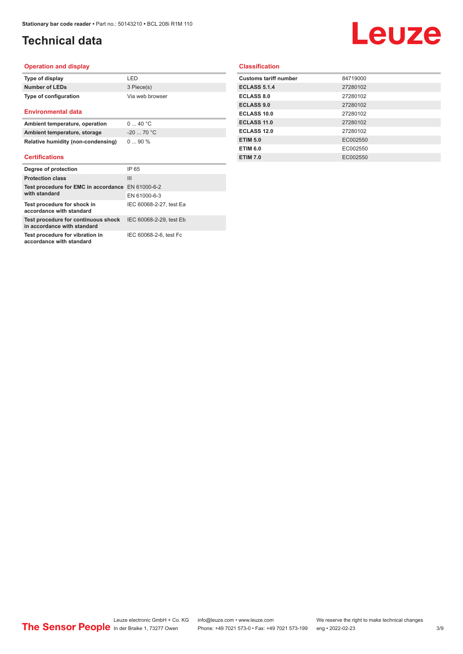# **Technical data**

# **Leuze**

#### **Operation and display**

| Type of display       | I FD.           |
|-----------------------|-----------------|
| Number of LEDs        | 3 Piece(s)      |
| Type of configuration | Via web browser |

#### **Environmental data**

| Ambient temperature, operation     | 040 °C      |
|------------------------------------|-------------|
| Ambient temperature, storage       | $-20$ 70 °C |
| Relative humidity (non-condensing) | $090\%$     |

#### **Certifications**

| Degree of protection                                               | IP 65                   |
|--------------------------------------------------------------------|-------------------------|
| <b>Protection class</b>                                            | $\mathbf{III}$          |
| Test procedure for EMC in accordance EN 61000-6-2                  |                         |
| with standard                                                      | EN 61000-6-3            |
| Test procedure for shock in<br>accordance with standard            | IEC 60068-2-27, test Ea |
| Test procedure for continuous shock<br>in accordance with standard | IEC 60068-2-29, test Eb |
| Test procedure for vibration in<br>accordance with standard        | IEC 60068-2-6, test Fc  |

### **Classification**

| 84719000 |
|----------|
| 27280102 |
| 27280102 |
| 27280102 |
| 27280102 |
| 27280102 |
| 27280102 |
| EC002550 |
| EC002550 |
| EC002550 |
|          |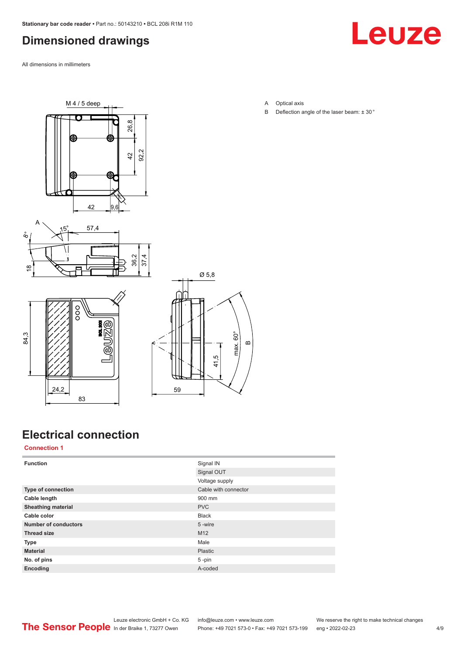# <span id="page-3-0"></span>**Dimensioned drawings**

All dimensions in millimeters



 $M4/5$  deep  $\overline{\mathbf{O}}$ 26.8 92.2  $42$ 42 9.6







# **Electrical connection**

**Connection 1**

| <b>Function</b>             | Signal IN            |
|-----------------------------|----------------------|
|                             | Signal OUT           |
|                             | Voltage supply       |
| Type of connection          | Cable with connector |
| Cable length                | 900 mm               |
| <b>Sheathing material</b>   | <b>PVC</b>           |
| Cable color                 | <b>Black</b>         |
| <b>Number of conductors</b> | 5-wire               |
| <b>Thread size</b>          | M12                  |
| Type                        | Male                 |
| <b>Material</b>             | Plastic              |
| No. of pins                 | $5 - pin$            |
| Encoding                    | A-coded              |

- A Optical axis
- B Deflection angle of the laser beam:  $\pm$  30 $^{\circ}$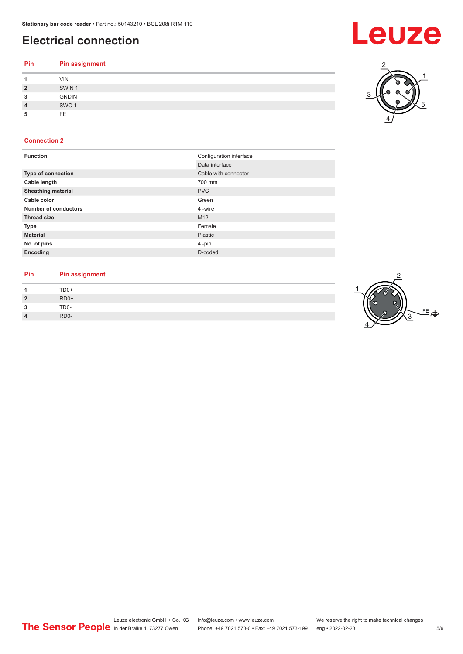# **Electrical connection**

| Pin            | <b>Pin assignment</b> |
|----------------|-----------------------|
|                | <b>VIN</b>            |
| $\overline{2}$ | SWIN <sub>1</sub>     |
| 3              | <b>GNDIN</b>          |
| $\overline{4}$ | SWO <sub>1</sub>      |
| 5              | FE.                   |

### **Connection 2**

| <b>Function</b>           | Configuration interface |
|---------------------------|-------------------------|
|                           | Data interface          |
| <b>Type of connection</b> | Cable with connector    |
| Cable length              | 700 mm                  |
| <b>Sheathing material</b> | <b>PVC</b>              |
| Cable color               | Green                   |
| Number of conductors      | 4 -wire                 |
| <b>Thread size</b>        | M12                     |
| <b>Type</b>               | Female                  |
| <b>Material</b>           | Plastic                 |
| No. of pins               | 4-pin                   |
| Encoding                  | D-coded                 |

#### **Pin Pin assignment**

| 4              | TD0+              |
|----------------|-------------------|
| $\overline{2}$ | RD <sub>0</sub> + |
| 3              | TD <sub>0</sub> - |
| $\overline{4}$ | RD <sub>0</sub> - |
|                |                   |



2

4

3

1

5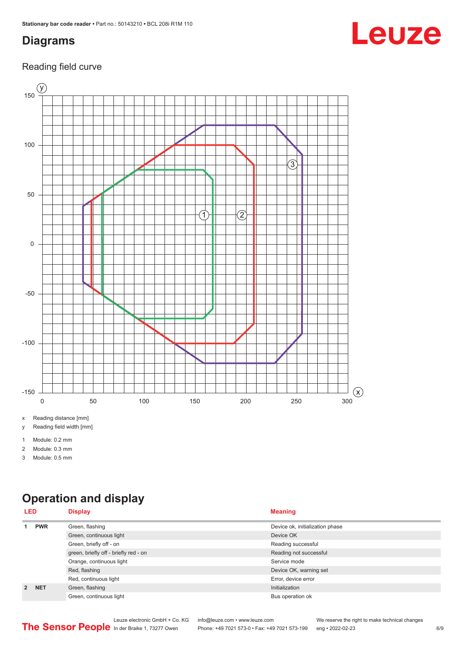# <span id="page-5-0"></span>**Diagrams**

### Reading field curve



x Reading distance [mm]

y Reading field width [mm]

1 Module: 0.2 mm

2 Module: 0.3 mm

3 Module: 0.5 mm

# **Operation and display**

| <b>LED</b>  |            | <b>Display</b>                        | <b>Meaning</b>                  |
|-------------|------------|---------------------------------------|---------------------------------|
|             | <b>PWR</b> | Green, flashing                       | Device ok, initialization phase |
|             |            | Green, continuous light               | Device OK                       |
|             |            | Green, briefly off - on               | Reading successful              |
|             |            | green, briefly off - briefly red - on | Reading not successful          |
|             |            | Orange, continuous light              | Service mode                    |
|             |            | Red, flashing                         | Device OK, warning set          |
|             |            | Red, continuous light                 | Error, device error             |
| $2^{\circ}$ | <b>NET</b> | Green, flashing                       | Initialization                  |
|             |            | Green, continuous light               | Bus operation ok                |

# Leuze

Leuze electronic GmbH + Co. KG info@leuze.com • www.leuze.com We reserve the right to make technical changes<br>
The Sensor People in der Braike 1, 73277 Owen Phone: +49 7021 573-0 • Fax: +49 7021 573-199 eng • 2022-02-23 Phone: +49 7021 573-0 • Fax: +49 7021 573-199 eng • 2022-02-23 6/9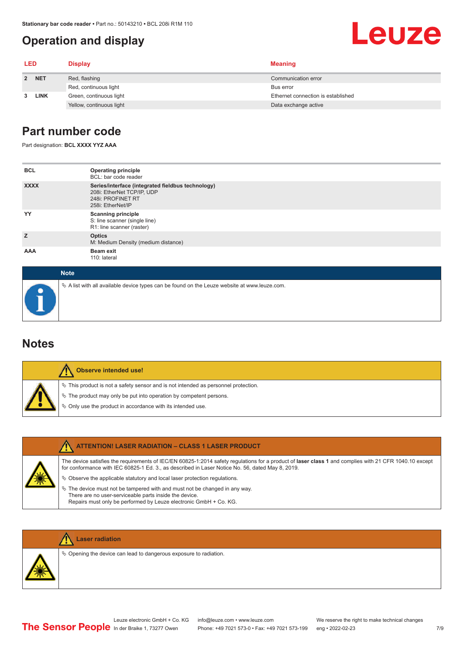# <span id="page-6-0"></span>**Operation and display**

# **Leuze**

| <b>LED</b> |             | <b>Display</b>           | <b>Meaning</b>                     |
|------------|-------------|--------------------------|------------------------------------|
|            | 2 NET       | Red, flashing            | Communication error                |
|            |             | Red, continuous light    | Bus error                          |
| 3          | <b>LINK</b> | Green, continuous light  | Ethernet connection is established |
|            |             | Yellow, continuous light | Data exchange active               |

### **Part number code**

Part designation: **BCL XXXX YYZ AAA**

| <b>BCL</b>  | <b>Operating principle</b><br>BCL: bar code reader                                                                        |  |  |  |  |
|-------------|---------------------------------------------------------------------------------------------------------------------------|--|--|--|--|
| <b>XXXX</b> | Series/interface (integrated fieldbus technology)<br>208i: EtherNet TCP/IP, UDP<br>248i: PROFINET RT<br>258i: EtherNet/IP |  |  |  |  |
| YY          | <b>Scanning principle</b><br>S: line scanner (single line)<br>R1: line scanner (raster)                                   |  |  |  |  |
| z           | <b>Optics</b><br>M: Medium Density (medium distance)                                                                      |  |  |  |  |
| AAA         | Beam exit<br>110: lateral                                                                                                 |  |  |  |  |
|             | <b>Note</b>                                                                                                               |  |  |  |  |
|             | $\&$ A list with all available device types can be found on the Leuze website at www.leuze.com.                           |  |  |  |  |

### **Notes**

|  | Observe intended use!                                                                 |
|--|---------------------------------------------------------------------------------------|
|  | $\%$ This product is not a safety sensor and is not intended as personnel protection. |
|  | § The product may only be put into operation by competent persons.                    |
|  | ♦ Only use the product in accordance with its intended use.                           |

| <b>ATTENTION! LASER RADIATION - CLASS 1 LASER PRODUCT</b>                                                                                                                                                                                                                                                                                                                                                                                                                                                                                                   |
|-------------------------------------------------------------------------------------------------------------------------------------------------------------------------------------------------------------------------------------------------------------------------------------------------------------------------------------------------------------------------------------------------------------------------------------------------------------------------------------------------------------------------------------------------------------|
| The device satisfies the requirements of IEC/EN 60825-1:2014 safety regulations for a product of laser class 1 and complies with 21 CFR 1040.10 except<br>for conformance with IEC 60825-1 Ed. 3., as described in Laser Notice No. 56, dated May 8, 2019.<br>$\&$ Observe the applicable statutory and local laser protection regulations.<br>$\%$ The device must not be tampered with and must not be changed in any way.<br>There are no user-serviceable parts inside the device.<br>Repairs must only be performed by Leuze electronic GmbH + Co. KG. |



### **Laser radiation**

 $\%$  Opening the device can lead to dangerous exposure to radiation.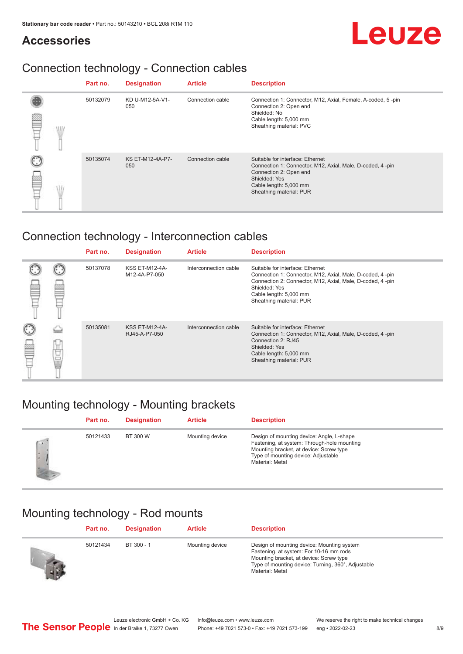## **Accessories**

# Leuze

# Connection technology - Connection cables

|  | Part no. | <b>Designation</b>             | <b>Article</b>   | <b>Description</b>                                                                                                                                                                            |
|--|----------|--------------------------------|------------------|-----------------------------------------------------------------------------------------------------------------------------------------------------------------------------------------------|
|  | 50132079 | KD U-M12-5A-V1-<br>050         | Connection cable | Connection 1: Connector, M12, Axial, Female, A-coded, 5-pin<br>Connection 2: Open end<br>Shielded: No<br>Cable length: 5,000 mm<br>Sheathing material: PVC                                    |
|  | 50135074 | <b>KS ET-M12-4A-P7-</b><br>050 | Connection cable | Suitable for interface: Ethernet<br>Connection 1: Connector, M12, Axial, Male, D-coded, 4-pin<br>Connection 2: Open end<br>Shielded: Yes<br>Cable length: 5,000 mm<br>Sheathing material: PUR |

# Connection technology - Interconnection cables

|   |   | Part no. | <b>Designation</b>                     | <b>Article</b>        | <b>Description</b>                                                                                                                                                                                                               |
|---|---|----------|----------------------------------------|-----------------------|----------------------------------------------------------------------------------------------------------------------------------------------------------------------------------------------------------------------------------|
|   |   | 50137078 | <b>KSS ET-M12-4A-</b><br>M12-4A-P7-050 | Interconnection cable | Suitable for interface: Ethernet<br>Connection 1: Connector, M12, Axial, Male, D-coded, 4-pin<br>Connection 2: Connector, M12, Axial, Male, D-coded, 4-pin<br>Shielded: Yes<br>Cable length: 5,000 mm<br>Sheathing material: PUR |
| 鋞 | Ö | 50135081 | <b>KSS ET-M12-4A-</b><br>RJ45-A-P7-050 | Interconnection cable | Suitable for interface: Ethernet<br>Connection 1: Connector, M12, Axial, Male, D-coded, 4-pin<br>Connection 2: RJ45<br>Shielded: Yes<br>Cable length: 5,000 mm<br>Sheathing material: PUR                                        |

# Mounting technology - Mounting brackets

|             | Part no. | <b>Designation</b> | <b>Article</b>  | <b>Description</b>                                                                                                                                                                            |
|-------------|----------|--------------------|-----------------|-----------------------------------------------------------------------------------------------------------------------------------------------------------------------------------------------|
| <b>Call</b> | 50121433 | BT 300 W           | Mounting device | Design of mounting device: Angle, L-shape<br>Fastening, at system: Through-hole mounting<br>Mounting bracket, at device: Screw type<br>Type of mounting device: Adjustable<br>Material: Metal |

## Mounting technology - Rod mounts

|               | Part no. | <b>Designation</b> | <b>Article</b>  | <b>Description</b>                                                                                                                                                                                        |
|---------------|----------|--------------------|-----------------|-----------------------------------------------------------------------------------------------------------------------------------------------------------------------------------------------------------|
| $\frac{1}{2}$ | 50121434 | BT 300 - 1         | Mounting device | Design of mounting device: Mounting system<br>Fastening, at system: For 10-16 mm rods<br>Mounting bracket, at device: Screw type<br>Type of mounting device: Turning, 360°, Adjustable<br>Material: Metal |